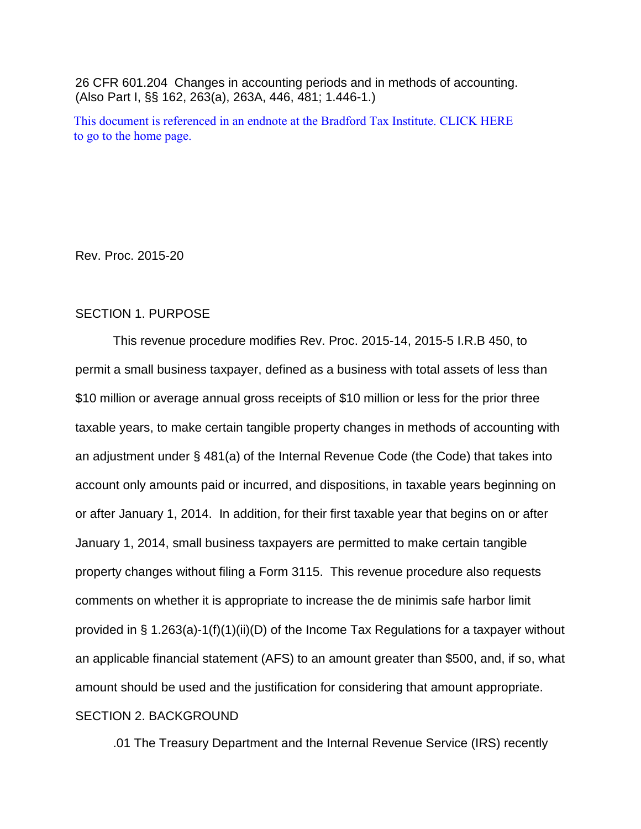26 CFR 601.204 Changes in accounting periods and in methods of accounting. (Also Part I, §§ 162, 263(a), 263A, 446, 481; 1.446-1.)

[This document is referenced in an endnote at the Bradford Tax Institute. CLICK HERE](bradfordtaxinstitute.com)  to go to the home page.

Rev. Proc. 2015-20

## SECTION 1. PURPOSE

This revenue procedure modifies Rev. Proc. 2015-14, 2015-5 I.R.B 450, to permit a small business taxpayer, defined as a business with total assets of less than \$10 million or average annual gross receipts of \$10 million or less for the prior three taxable years, to make certain tangible property changes in methods of accounting with an adjustment under § 481(a) of the Internal Revenue Code (the Code) that takes into account only amounts paid or incurred, and dispositions, in taxable years beginning on or after January 1, 2014. In addition, for their first taxable year that begins on or after January 1, 2014, small business taxpayers are permitted to make certain tangible property changes without filing a Form 3115. This revenue procedure also requests comments on whether it is appropriate to increase the de minimis safe harbor limit provided in § 1.263(a)-1(f)(1)(ii)(D) of the Income Tax Regulations for a taxpayer without an applicable financial statement (AFS) to an amount greater than \$500, and, if so, what amount should be used and the justification for considering that amount appropriate. SECTION 2. BACKGROUND

.01 The Treasury Department and the Internal Revenue Service (IRS) recently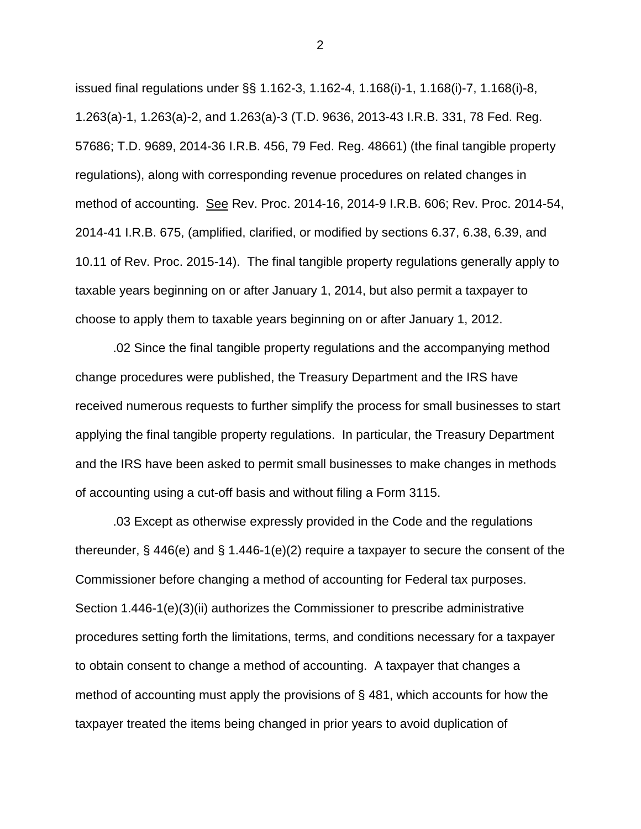issued final regulations under §§ 1.162-3, 1.162-4, 1.168(i)-1, 1.168(i)-7, 1.168(i)-8, 1.263(a)-1, 1.263(a)-2, and 1.263(a)-3 (T.D. 9636, 2013-43 I.R.B. 331, 78 Fed. Reg. 57686; T.D. 9689, 2014-36 I.R.B. 456, 79 Fed. Reg. 48661) (the final tangible property regulations), along with corresponding revenue procedures on related changes in method of accounting. See Rev. Proc. 2014-16, 2014-9 I.R.B. 606; Rev. Proc. 2014-54, 2014-41 I.R.B. 675, (amplified, clarified, or modified by sections 6.37, 6.38, 6.39, and 10.11 of Rev. Proc. 2015-14). The final tangible property regulations generally apply to taxable years beginning on or after January 1, 2014, but also permit a taxpayer to choose to apply them to taxable years beginning on or after January 1, 2012.

.02 Since the final tangible property regulations and the accompanying method change procedures were published, the Treasury Department and the IRS have received numerous requests to further simplify the process for small businesses to start applying the final tangible property regulations. In particular, the Treasury Department and the IRS have been asked to permit small businesses to make changes in methods of accounting using a cut-off basis and without filing a Form 3115.

.03 Except as otherwise expressly provided in the Code and the regulations thereunder,  $\S$  446(e) and  $\S$  1.446-1(e)(2) require a taxpayer to secure the consent of the Commissioner before changing a method of accounting for Federal tax purposes. Section 1.446-1(e)(3)(ii) authorizes the Commissioner to prescribe administrative procedures setting forth the limitations, terms, and conditions necessary for a taxpayer to obtain consent to change a method of accounting. A taxpayer that changes a method of accounting must apply the provisions of § 481, which accounts for how the taxpayer treated the items being changed in prior years to avoid duplication of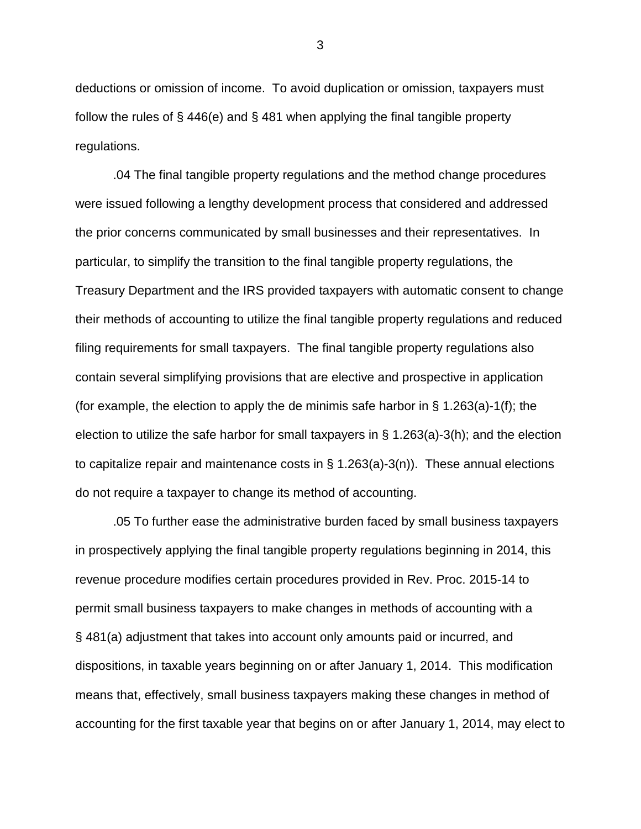deductions or omission of income. To avoid duplication or omission, taxpayers must follow the rules of  $\S$  446(e) and  $\S$  481 when applying the final tangible property regulations.

.04 The final tangible property regulations and the method change procedures were issued following a lengthy development process that considered and addressed the prior concerns communicated by small businesses and their representatives. In particular, to simplify the transition to the final tangible property regulations, the Treasury Department and the IRS provided taxpayers with automatic consent to change their methods of accounting to utilize the final tangible property regulations and reduced filing requirements for small taxpayers. The final tangible property regulations also contain several simplifying provisions that are elective and prospective in application (for example, the election to apply the de minimis safe harbor in § 1.263(a)-1(f); the election to utilize the safe harbor for small taxpayers in § 1.263(a)-3(h); and the election to capitalize repair and maintenance costs in  $\S$  1.263(a)-3(n)). These annual elections do not require a taxpayer to change its method of accounting.

.05 To further ease the administrative burden faced by small business taxpayers in prospectively applying the final tangible property regulations beginning in 2014, this revenue procedure modifies certain procedures provided in Rev. Proc. 2015-14 to permit small business taxpayers to make changes in methods of accounting with a § 481(a) adjustment that takes into account only amounts paid or incurred, and dispositions, in taxable years beginning on or after January 1, 2014. This modification means that, effectively, small business taxpayers making these changes in method of accounting for the first taxable year that begins on or after January 1, 2014, may elect to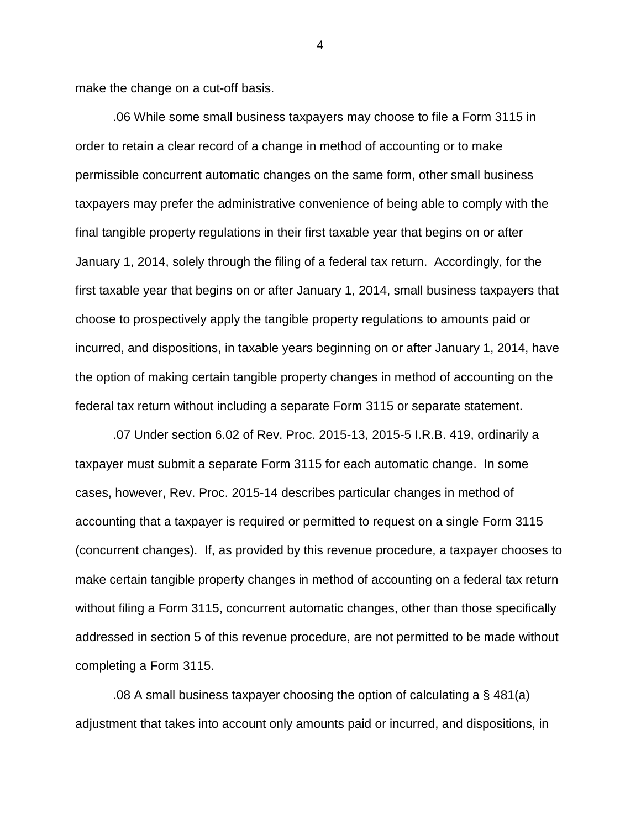make the change on a cut-off basis.

.06 While some small business taxpayers may choose to file a Form 3115 in order to retain a clear record of a change in method of accounting or to make permissible concurrent automatic changes on the same form, other small business taxpayers may prefer the administrative convenience of being able to comply with the final tangible property regulations in their first taxable year that begins on or after January 1, 2014, solely through the filing of a federal tax return. Accordingly, for the first taxable year that begins on or after January 1, 2014, small business taxpayers that choose to prospectively apply the tangible property regulations to amounts paid or incurred, and dispositions, in taxable years beginning on or after January 1, 2014, have the option of making certain tangible property changes in method of accounting on the federal tax return without including a separate Form 3115 or separate statement.

.07 Under section 6.02 of Rev. Proc. 2015-13, 2015-5 I.R.B. 419, ordinarily a taxpayer must submit a separate Form 3115 for each automatic change. In some cases, however, Rev. Proc. 2015-14 describes particular changes in method of accounting that a taxpayer is required or permitted to request on a single Form 3115 (concurrent changes). If, as provided by this revenue procedure, a taxpayer chooses to make certain tangible property changes in method of accounting on a federal tax return without filing a Form 3115, concurrent automatic changes, other than those specifically addressed in section 5 of this revenue procedure, are not permitted to be made without completing a Form 3115.

.08 A small business taxpayer choosing the option of calculating a § 481(a) adjustment that takes into account only amounts paid or incurred, and dispositions, in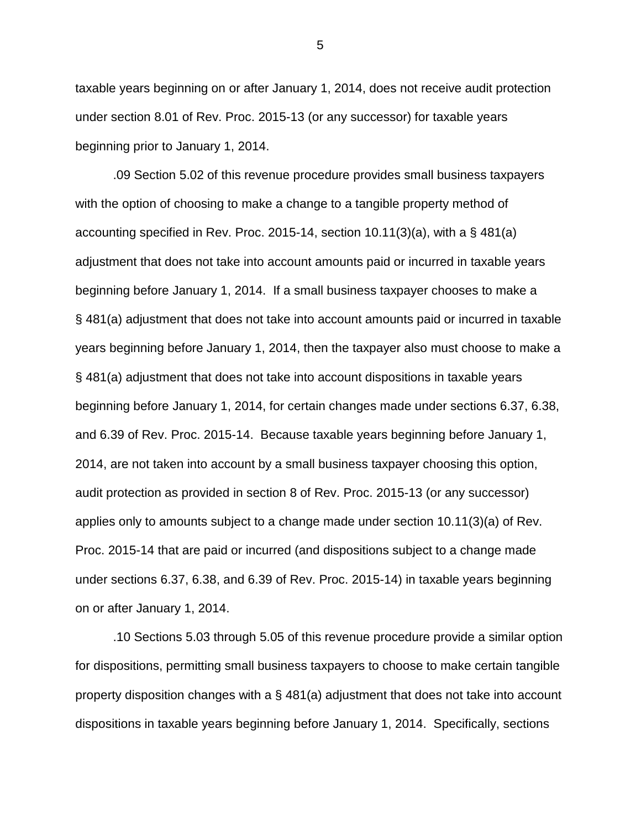taxable years beginning on or after January 1, 2014, does not receive audit protection under section 8.01 of Rev. Proc. 2015-13 (or any successor) for taxable years beginning prior to January 1, 2014.

.09 Section 5.02 of this revenue procedure provides small business taxpayers with the option of choosing to make a change to a tangible property method of accounting specified in Rev. Proc. 2015-14, section 10.11(3)(a), with a § 481(a) adjustment that does not take into account amounts paid or incurred in taxable years beginning before January 1, 2014. If a small business taxpayer chooses to make a § 481(a) adjustment that does not take into account amounts paid or incurred in taxable years beginning before January 1, 2014, then the taxpayer also must choose to make a § 481(a) adjustment that does not take into account dispositions in taxable years beginning before January 1, 2014, for certain changes made under sections 6.37, 6.38, and 6.39 of Rev. Proc. 2015-14. Because taxable years beginning before January 1, 2014, are not taken into account by a small business taxpayer choosing this option, audit protection as provided in section 8 of Rev. Proc. 2015-13 (or any successor) applies only to amounts subject to a change made under section 10.11(3)(a) of Rev. Proc. 2015-14 that are paid or incurred (and dispositions subject to a change made under sections 6.37, 6.38, and 6.39 of Rev. Proc. 2015-14) in taxable years beginning on or after January 1, 2014.

.10 Sections 5.03 through 5.05 of this revenue procedure provide a similar option for dispositions, permitting small business taxpayers to choose to make certain tangible property disposition changes with a § 481(a) adjustment that does not take into account dispositions in taxable years beginning before January 1, 2014. Specifically, sections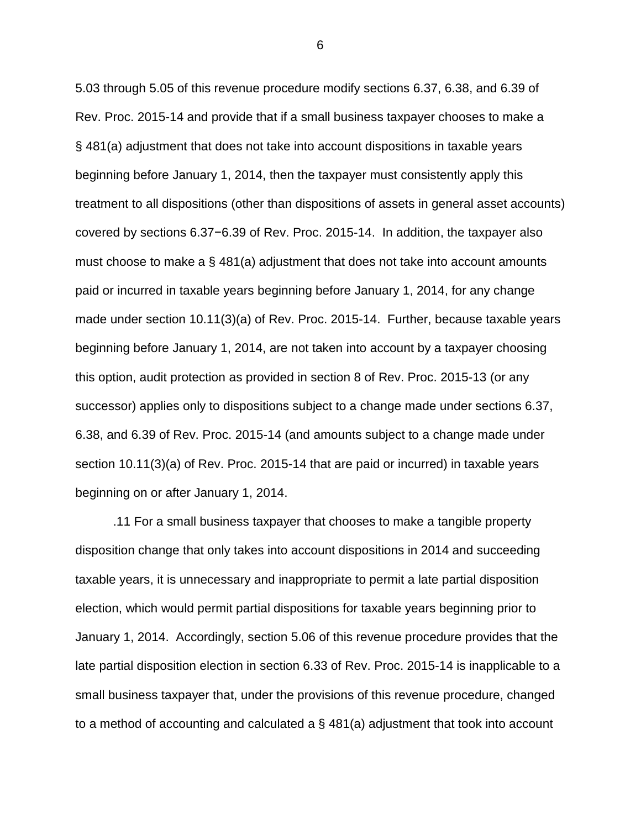5.03 through 5.05 of this revenue procedure modify sections 6.37, 6.38, and 6.39 of Rev. Proc. 2015-14 and provide that if a small business taxpayer chooses to make a § 481(a) adjustment that does not take into account dispositions in taxable years beginning before January 1, 2014, then the taxpayer must consistently apply this treatment to all dispositions (other than dispositions of assets in general asset accounts) covered by sections 6.37−6.39 of Rev. Proc. 2015-14. In addition, the taxpayer also must choose to make a § 481(a) adjustment that does not take into account amounts paid or incurred in taxable years beginning before January 1, 2014, for any change made under section 10.11(3)(a) of Rev. Proc. 2015-14. Further, because taxable years beginning before January 1, 2014, are not taken into account by a taxpayer choosing this option, audit protection as provided in section 8 of Rev. Proc. 2015-13 (or any successor) applies only to dispositions subject to a change made under sections 6.37, 6.38, and 6.39 of Rev. Proc. 2015-14 (and amounts subject to a change made under section 10.11(3)(a) of Rev. Proc. 2015-14 that are paid or incurred) in taxable years beginning on or after January 1, 2014.

.11 For a small business taxpayer that chooses to make a tangible property disposition change that only takes into account dispositions in 2014 and succeeding taxable years, it is unnecessary and inappropriate to permit a late partial disposition election, which would permit partial dispositions for taxable years beginning prior to January 1, 2014. Accordingly, section 5.06 of this revenue procedure provides that the late partial disposition election in section 6.33 of Rev. Proc. 2015-14 is inapplicable to a small business taxpayer that, under the provisions of this revenue procedure, changed to a method of accounting and calculated a § 481(a) adjustment that took into account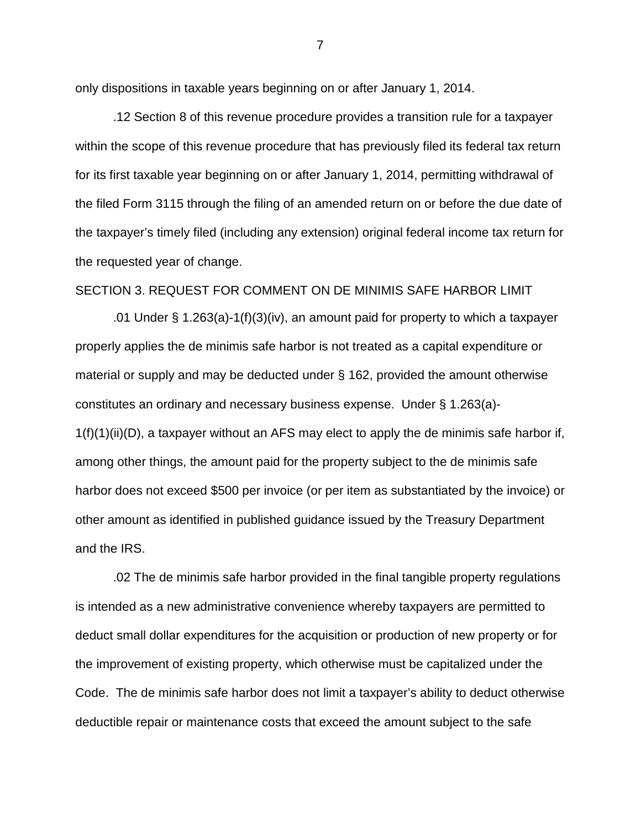only dispositions in taxable years beginning on or after January 1, 2014.

.12 Section 8 of this revenue procedure provides a transition rule for a taxpayer within the scope of this revenue procedure that has previously filed its federal tax return for its first taxable year beginning on or after January 1, 2014, permitting withdrawal of the filed Form 3115 through the filing of an amended return on or before the due date of the taxpayer's timely filed (including any extension) original federal income tax return for the requested year of change.

## SECTION 3. REQUEST FOR COMMENT ON DE MINIMIS SAFE HARBOR LIMIT

.01 Under § 1.263(a)-1(f)(3)(iv), an amount paid for property to which a taxpayer properly applies the de minimis safe harbor is not treated as a capital expenditure or material or supply and may be deducted under § 162, provided the amount otherwise constitutes an ordinary and necessary business expense. Under § 1.263(a)-  $1(f)(1)(ii)(D)$ , a taxpayer without an AFS may elect to apply the de minimis safe harbor if, among other things, the amount paid for the property subject to the de minimis safe harbor does not exceed \$500 per invoice (or per item as substantiated by the invoice) or other amount as identified in published guidance issued by the Treasury Department and the IRS.

.02 The de minimis safe harbor provided in the final tangible property regulations is intended as a new administrative convenience whereby taxpayers are permitted to deduct small dollar expenditures for the acquisition or production of new property or for the improvement of existing property, which otherwise must be capitalized under the Code. The de minimis safe harbor does not limit a taxpayer's ability to deduct otherwise deductible repair or maintenance costs that exceed the amount subject to the safe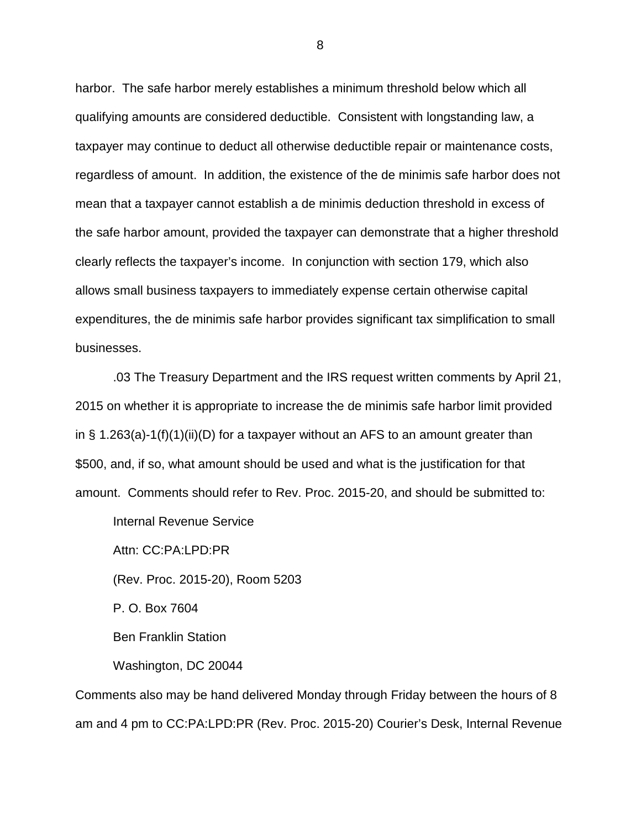harbor. The safe harbor merely establishes a minimum threshold below which all qualifying amounts are considered deductible. Consistent with longstanding law, a taxpayer may continue to deduct all otherwise deductible repair or maintenance costs, regardless of amount. In addition, the existence of the de minimis safe harbor does not mean that a taxpayer cannot establish a de minimis deduction threshold in excess of the safe harbor amount, provided the taxpayer can demonstrate that a higher threshold clearly reflects the taxpayer's income. In conjunction with section 179, which also allows small business taxpayers to immediately expense certain otherwise capital expenditures, the de minimis safe harbor provides significant tax simplification to small businesses.

.03 The Treasury Department and the IRS request written comments by April 21, 2015 on whether it is appropriate to increase the de minimis safe harbor limit provided in § 1.263(a)-1(f)(1)(ii)(D) for a taxpayer without an AFS to an amount greater than \$500, and, if so, what amount should be used and what is the justification for that amount. Comments should refer to Rev. Proc. 2015-20, and should be submitted to:

Internal Revenue Service Attn: CC:PA:LPD:PR (Rev. Proc. 2015-20), Room 5203 P. O. Box 7604 Ben Franklin Station Washington, DC 20044

Comments also may be hand delivered Monday through Friday between the hours of 8 am and 4 pm to CC:PA:LPD:PR (Rev. Proc. 2015-20) Courier's Desk, Internal Revenue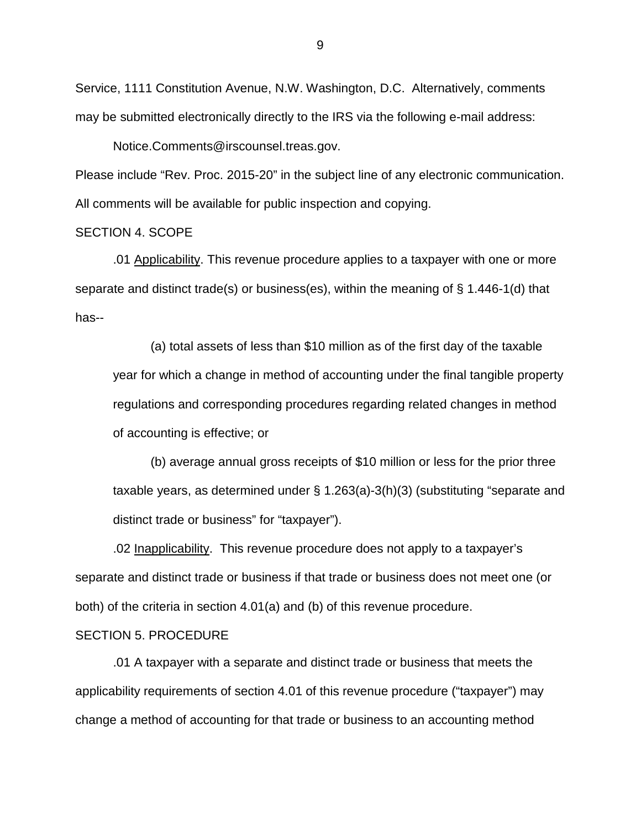Service, 1111 Constitution Avenue, N.W. Washington, D.C. Alternatively, comments may be submitted electronically directly to the IRS via the following e-mail address:

Notice.Comments@irscounsel.treas.gov.

Please include "Rev. Proc. 2015-20" in the subject line of any electronic communication. All comments will be available for public inspection and copying.

#### SECTION 4. SCOPE

.01 Applicability. This revenue procedure applies to a taxpayer with one or more separate and distinct trade(s) or business(es), within the meaning of § 1.446-1(d) that has--

(a) total assets of less than \$10 million as of the first day of the taxable year for which a change in method of accounting under the final tangible property regulations and corresponding procedures regarding related changes in method of accounting is effective; or

(b) average annual gross receipts of \$10 million or less for the prior three taxable years, as determined under § 1.263(a)-3(h)(3) (substituting "separate and distinct trade or business" for "taxpayer").

.02 Inapplicability. This revenue procedure does not apply to a taxpayer's separate and distinct trade or business if that trade or business does not meet one (or both) of the criteria in section 4.01(a) and (b) of this revenue procedure.

#### SECTION 5. PROCEDURE

.01 A taxpayer with a separate and distinct trade or business that meets the applicability requirements of section 4.01 of this revenue procedure ("taxpayer") may change a method of accounting for that trade or business to an accounting method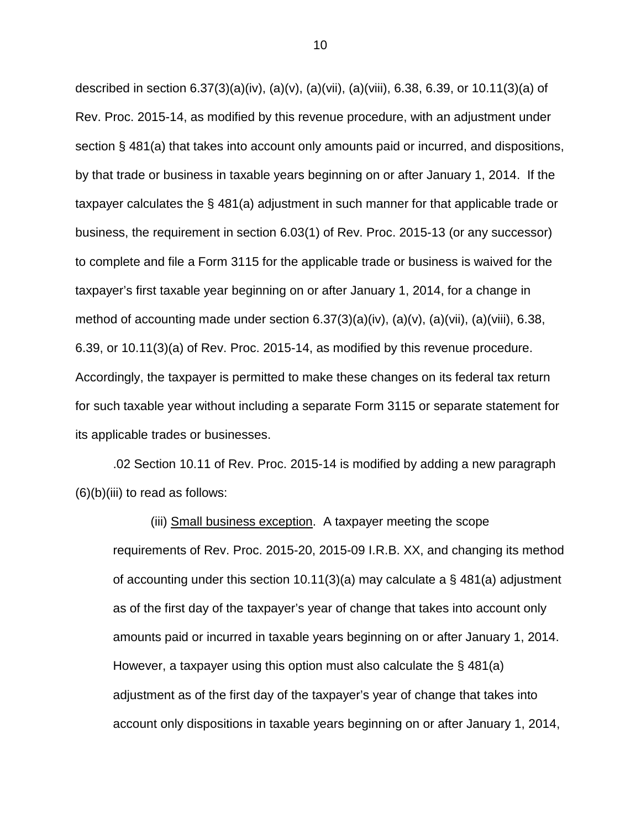described in section 6.37(3)(a)(iv), (a)(v), (a)(vii), (a)(viii), 6.38, 6.39, or 10.11(3)(a) of Rev. Proc. 2015-14, as modified by this revenue procedure, with an adjustment under section § 481(a) that takes into account only amounts paid or incurred, and dispositions, by that trade or business in taxable years beginning on or after January 1, 2014. If the taxpayer calculates the § 481(a) adjustment in such manner for that applicable trade or business, the requirement in section 6.03(1) of Rev. Proc. 2015-13 (or any successor) to complete and file a Form 3115 for the applicable trade or business is waived for the taxpayer's first taxable year beginning on or after January 1, 2014, for a change in method of accounting made under section  $6.37(3)(a)(iv)$ ,  $(a)(v)$ ,  $(a)(vii)$ ,  $(a)(viii)$ ,  $6.38$ , 6.39, or 10.11(3)(a) of Rev. Proc. 2015-14, as modified by this revenue procedure. Accordingly, the taxpayer is permitted to make these changes on its federal tax return for such taxable year without including a separate Form 3115 or separate statement for its applicable trades or businesses.

.02 Section 10.11 of Rev. Proc. 2015-14 is modified by adding a new paragraph  $(6)(b)(iii)$  to read as follows:

(iii) Small business exception. A taxpayer meeting the scope requirements of Rev. Proc. 2015-20, 2015-09 I.R.B. XX, and changing its method of accounting under this section 10.11(3)(a) may calculate a § 481(a) adjustment as of the first day of the taxpayer's year of change that takes into account only amounts paid or incurred in taxable years beginning on or after January 1, 2014. However, a taxpayer using this option must also calculate the § 481(a) adjustment as of the first day of the taxpayer's year of change that takes into account only dispositions in taxable years beginning on or after January 1, 2014,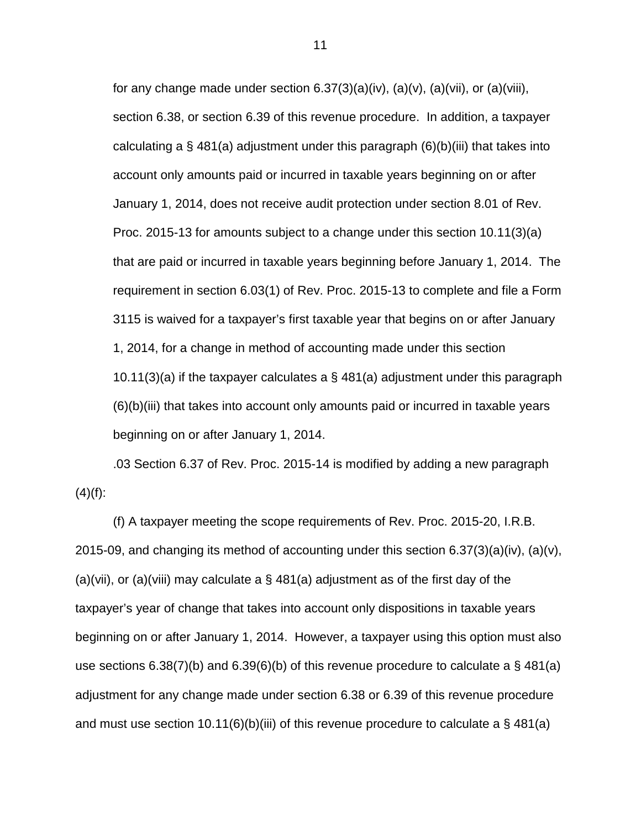for any change made under section  $6.37(3)(a)(iv)$ ,  $(a)(v)$ ,  $(a)(vii)$ , or  $(a)(viii)$ , section 6.38, or section 6.39 of this revenue procedure. In addition, a taxpayer calculating a  $\S$  481(a) adjustment under this paragraph  $(6)(b)(iii)$  that takes into account only amounts paid or incurred in taxable years beginning on or after January 1, 2014, does not receive audit protection under section 8.01 of Rev. Proc. 2015-13 for amounts subject to a change under this section 10.11(3)(a) that are paid or incurred in taxable years beginning before January 1, 2014. The requirement in section 6.03(1) of Rev. Proc. 2015-13 to complete and file a Form 3115 is waived for a taxpayer's first taxable year that begins on or after January 1, 2014, for a change in method of accounting made under this section 10.11(3)(a) if the taxpayer calculates a  $\S$  481(a) adjustment under this paragraph (6)(b)(iii) that takes into account only amounts paid or incurred in taxable years beginning on or after January 1, 2014.

.03 Section 6.37 of Rev. Proc. 2015-14 is modified by adding a new paragraph  $(4)(f)$ :

(f) A taxpayer meeting the scope requirements of Rev. Proc. 2015-20, I.R.B. 2015-09, and changing its method of accounting under this section 6.37(3)(a)(iv), (a)(v), (a)(vii), or (a)(viii) may calculate a  $\S$  481(a) adjustment as of the first day of the taxpayer's year of change that takes into account only dispositions in taxable years beginning on or after January 1, 2014. However, a taxpayer using this option must also use sections 6.38(7)(b) and 6.39(6)(b) of this revenue procedure to calculate a  $\S$  481(a) adjustment for any change made under section 6.38 or 6.39 of this revenue procedure and must use section 10.11(6)(b)(iii) of this revenue procedure to calculate a  $\S$  481(a)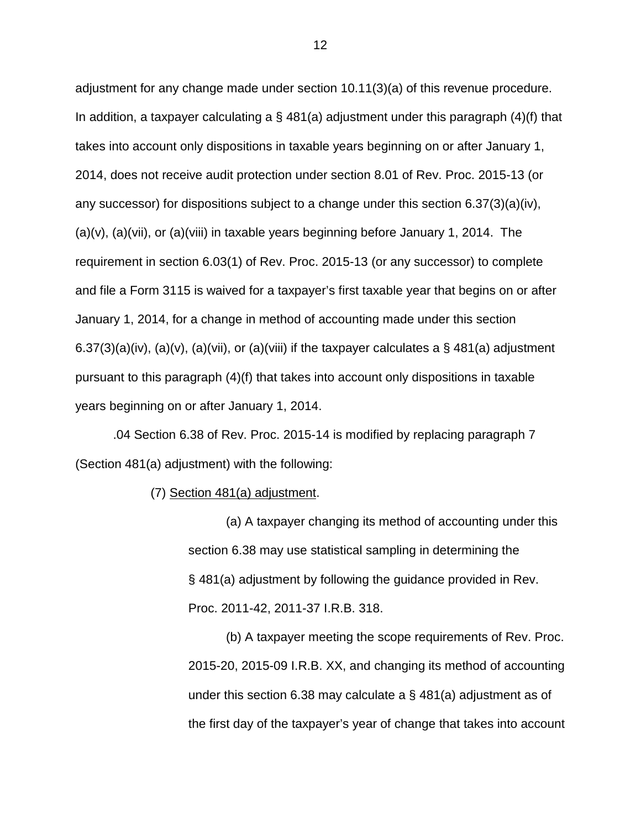adjustment for any change made under section 10.11(3)(a) of this revenue procedure. In addition, a taxpayer calculating a  $\S$  481(a) adjustment under this paragraph (4)(f) that takes into account only dispositions in taxable years beginning on or after January 1, 2014, does not receive audit protection under section 8.01 of Rev. Proc. 2015-13 (or any successor) for dispositions subject to a change under this section 6.37(3)(a)(iv),  $(a)(v)$ ,  $(a)(vii)$ , or  $(a)(viii)$  in taxable years beginning before January 1, 2014. The requirement in section 6.03(1) of Rev. Proc. 2015-13 (or any successor) to complete and file a Form 3115 is waived for a taxpayer's first taxable year that begins on or after January 1, 2014, for a change in method of accounting made under this section  $6.37(3)(a)(iv)$ ,  $(a)(v)$ ,  $(a)(vii)$ , or  $(a)(viii)$  if the taxpayer calculates a § 481(a) adjustment pursuant to this paragraph (4)(f) that takes into account only dispositions in taxable years beginning on or after January 1, 2014.

.04 Section 6.38 of Rev. Proc. 2015-14 is modified by replacing paragraph 7 (Section 481(a) adjustment) with the following:

(7) Section 481(a) adjustment.

(a) A taxpayer changing its method of accounting under this section 6.38 may use statistical sampling in determining the § 481(a) adjustment by following the guidance provided in Rev. Proc. 2011-42, 2011-37 I.R.B. 318.

(b) A taxpayer meeting the scope requirements of Rev. Proc. 2015-20, 2015-09 I.R.B. XX, and changing its method of accounting under this section 6.38 may calculate a § 481(a) adjustment as of the first day of the taxpayer's year of change that takes into account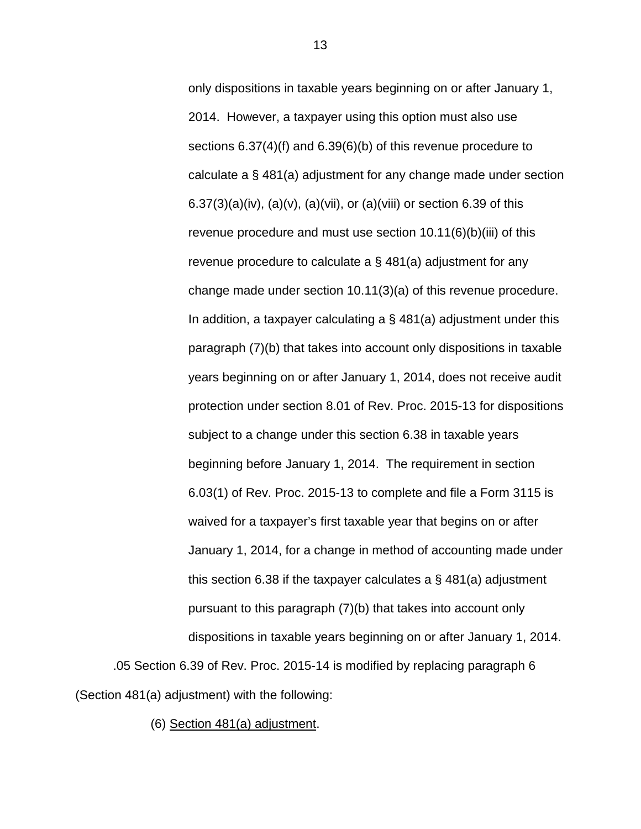only dispositions in taxable years beginning on or after January 1, 2014. However, a taxpayer using this option must also use sections 6.37(4)(f) and 6.39(6)(b) of this revenue procedure to calculate a § 481(a) adjustment for any change made under section 6.37(3)(a)(iv), (a)(v), (a)(vii), or (a)(viii) or section 6.39 of this revenue procedure and must use section 10.11(6)(b)(iii) of this revenue procedure to calculate a § 481(a) adjustment for any change made under section 10.11(3)(a) of this revenue procedure. In addition, a taxpayer calculating a  $\S$  481(a) adjustment under this paragraph (7)(b) that takes into account only dispositions in taxable years beginning on or after January 1, 2014, does not receive audit protection under section 8.01 of Rev. Proc. 2015-13 for dispositions subject to a change under this section 6.38 in taxable years beginning before January 1, 2014. The requirement in section 6.03(1) of Rev. Proc. 2015-13 to complete and file a Form 3115 is waived for a taxpayer's first taxable year that begins on or after January 1, 2014, for a change in method of accounting made under this section 6.38 if the taxpayer calculates a § 481(a) adjustment pursuant to this paragraph (7)(b) that takes into account only dispositions in taxable years beginning on or after January 1, 2014. .05 Section 6.39 of Rev. Proc. 2015-14 is modified by replacing paragraph 6

(Section 481(a) adjustment) with the following:

(6) Section 481(a) adjustment.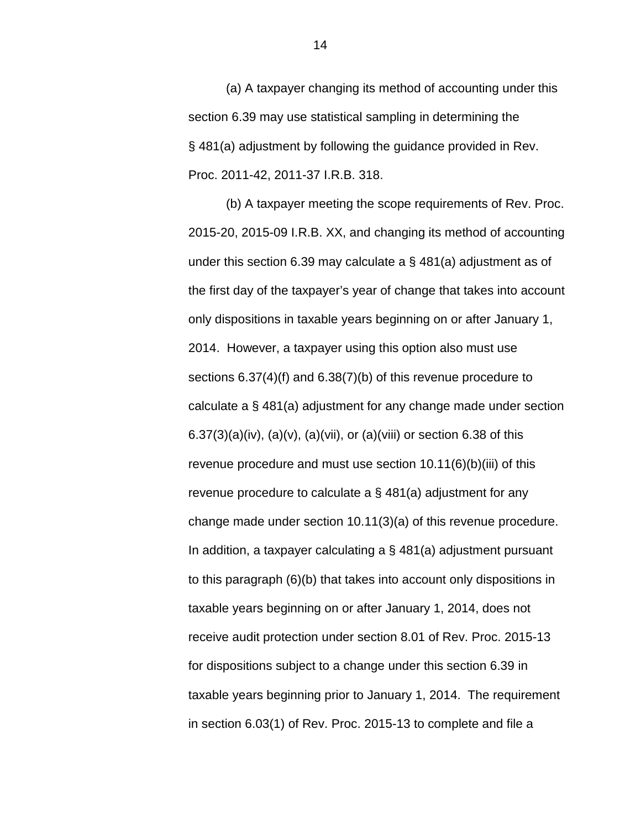(a) A taxpayer changing its method of accounting under this section 6.39 may use statistical sampling in determining the § 481(a) adjustment by following the guidance provided in Rev. Proc. 2011-42, 2011-37 I.R.B. 318.

(b) A taxpayer meeting the scope requirements of Rev. Proc. 2015-20, 2015-09 I.R.B. XX, and changing its method of accounting under this section 6.39 may calculate a § 481(a) adjustment as of the first day of the taxpayer's year of change that takes into account only dispositions in taxable years beginning on or after January 1, 2014. However, a taxpayer using this option also must use sections 6.37(4)(f) and 6.38(7)(b) of this revenue procedure to calculate a § 481(a) adjustment for any change made under section  $6.37(3)(a)(iv)$ ,  $(a)(v)$ ,  $(a)(vii)$ , or  $(a)(viii)$  or section 6.38 of this revenue procedure and must use section 10.11(6)(b)(iii) of this revenue procedure to calculate a § 481(a) adjustment for any change made under section 10.11(3)(a) of this revenue procedure. In addition, a taxpayer calculating a  $\S$  481(a) adjustment pursuant to this paragraph (6)(b) that takes into account only dispositions in taxable years beginning on or after January 1, 2014, does not receive audit protection under section 8.01 of Rev. Proc. 2015-13 for dispositions subject to a change under this section 6.39 in taxable years beginning prior to January 1, 2014. The requirement in section 6.03(1) of Rev. Proc. 2015-13 to complete and file a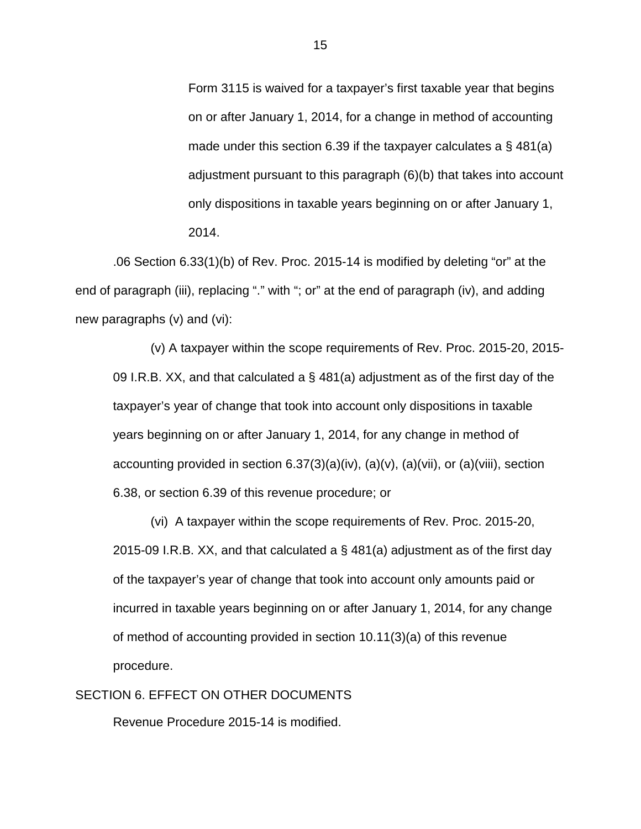Form 3115 is waived for a taxpayer's first taxable year that begins on or after January 1, 2014, for a change in method of accounting made under this section 6.39 if the taxpayer calculates a  $\S$  481(a) adjustment pursuant to this paragraph (6)(b) that takes into account only dispositions in taxable years beginning on or after January 1, 2014.

.06 Section 6.33(1)(b) of Rev. Proc. 2015-14 is modified by deleting "or" at the end of paragraph (iii), replacing "." with "; or" at the end of paragraph (iv), and adding new paragraphs (v) and (vi):

(v) A taxpayer within the scope requirements of Rev. Proc. 2015-20, 2015- 09 I.R.B. XX, and that calculated a  $\S$  481(a) adjustment as of the first day of the taxpayer's year of change that took into account only dispositions in taxable years beginning on or after January 1, 2014, for any change in method of accounting provided in section  $6.37(3)(a)(iv)$ ,  $(a)(v)$ ,  $(a)(vii)$ , or  $(a)(viii)$ , section 6.38, or section 6.39 of this revenue procedure; or

(vi) A taxpayer within the scope requirements of Rev. Proc. 2015-20, 2015-09 I.R.B. XX, and that calculated a § 481(a) adjustment as of the first day of the taxpayer's year of change that took into account only amounts paid or incurred in taxable years beginning on or after January 1, 2014, for any change of method of accounting provided in section 10.11(3)(a) of this revenue procedure.

SECTION 6. EFFECT ON OTHER DOCUMENTS

Revenue Procedure 2015-14 is modified.